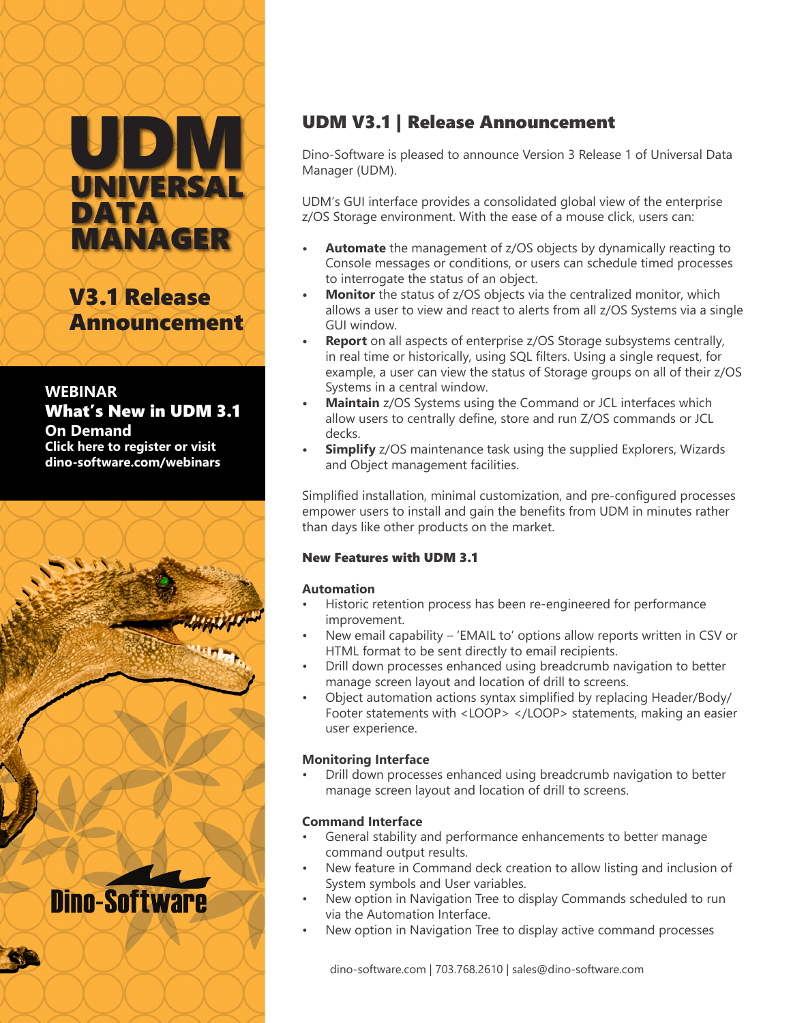# UD UNIVERSAL DATA MANAGER

V3.1 Release Announcement

### **WEBINAR** [What's New in UDM 3.1](https://attendee.gotowebinar.com/register/1719004360117440257?source=AL+What%27s+New+in+UDM+3.1+On+Demand)  **On Demand Click here to register or visit dino-software.com/webinars**



### UDM V3.1 | Release Announcement

Dino-Software is pleased to announce Version 3 Release 1 of Universal Data Manager (UDM).

UDM's GUI interface provides a consolidated global view of the enterprise z/OS Storage environment. With the ease of a mouse click, users can:

- **• Automate** the management of z/OS objects by dynamically reacting to Console messages or conditions, or users can schedule timed processes to interrogate the status of an object.
- **Monitor** the status of z/OS objects via the centralized monitor, which allows a user to view and react to alerts from all z/OS Systems via a single GUI window.
- **• Report** on all aspects of enterprise z/OS Storage subsystems centrally, in real time or historically, using SQL filters. Using a single request, for example, a user can view the status of Storage groups on all of their z/OS Systems in a central window.
- **• Maintain** z/OS Systems using the Command or JCL interfaces which allow users to centrally define, store and run Z/OS commands or JCL decks.
- **Simplify** z/OS maintenance task using the supplied Explorers, Wizards and Object management facilities.

Simplified installation, minimal customization, and pre-configured processes empower users to install and gain the benefits from UDM in minutes rather than days like other products on the market.

### New Features with UDM 3.1

### **Automation**

- Historic retention process has been re-engineered for performance improvement.
- New email capability 'EMAIL to' options allow reports written in CSV or HTML format to be sent directly to email recipients.
- Drill down processes enhanced using breadcrumb navigation to better manage screen layout and location of drill to screens.
- Object automation actions syntax simplified by replacing Header/Body/ Footer statements with <LOOP> </LOOP> statements, making an easier user experience.

### **Monitoring Interface**

• Drill down processes enhanced using breadcrumb navigation to better manage screen layout and location of drill to screens.

### **Command Interface**

- General stability and performance enhancements to better manage command output results.
- New feature in Command deck creation to allow listing and inclusion of System symbols and User variables.
- New option in Navigation Tree to display Commands scheduled to run via the Automation Interface.
- New option in Navigation Tree to display active command processes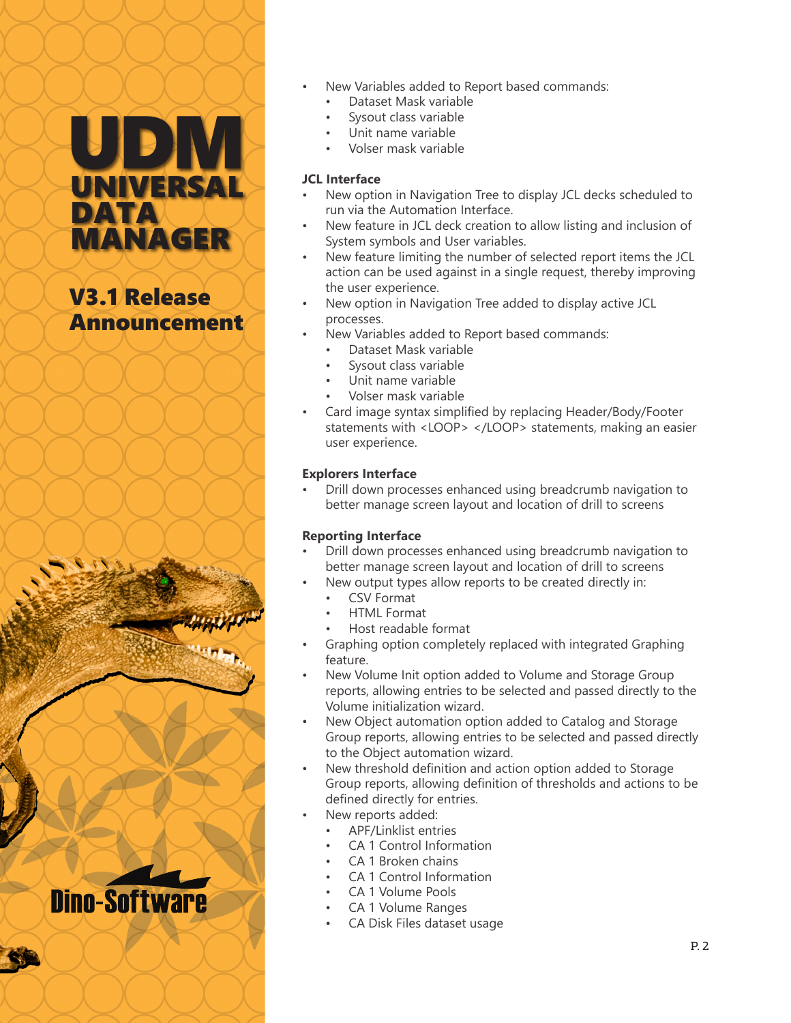# UDM UNIVERSAL DATA MANAGER

## V3.1 Release Announcement

**Dino-Software** 

#### New Variables added to Report based commands: • Dataset Mask variable

- Sysout class variable
- Unit name variable
- Volser mask variable

### **JCL Interface**

- New option in Navigation Tree to display JCL decks scheduled to run via the Automation Interface.
- New feature in JCL deck creation to allow listing and inclusion of System symbols and User variables.
- New feature limiting the number of selected report items the JCL action can be used against in a single request, thereby improving the user experience.
- New option in Navigation Tree added to display active JCL processes.
- New Variables added to Report based commands:
	- Dataset Mask variable
	- Sysout class variable
	- Unit name variable
	- Volser mask variable
- Card image syntax simplified by replacing Header/Body/Footer statements with <LOOP> </LOOP> statements, making an easier user experience.

### **Explorers Interface**

• Drill down processes enhanced using breadcrumb navigation to better manage screen layout and location of drill to screens

### **Reporting Interface**

- Drill down processes enhanced using breadcrumb navigation to better manage screen layout and location of drill to screens
- New output types allow reports to be created directly in:
	- CSV Format
	- HTML Format
	- Host readable format
- Graphing option completely replaced with integrated Graphing feature.
- New Volume Init option added to Volume and Storage Group reports, allowing entries to be selected and passed directly to the Volume initialization wizard.
- New Object automation option added to Catalog and Storage Group reports, allowing entries to be selected and passed directly to the Object automation wizard.
- New threshold definition and action option added to Storage Group reports, allowing definition of thresholds and actions to be defined directly for entries.
- New reports added:
	- APF/Linklist entries
	- CA 1 Control Information
	- CA 1 Broken chains
	- CA 1 Control Information
	- CA 1 Volume Pools
	- CA 1 Volume Ranges
	- CA Disk Files dataset usage